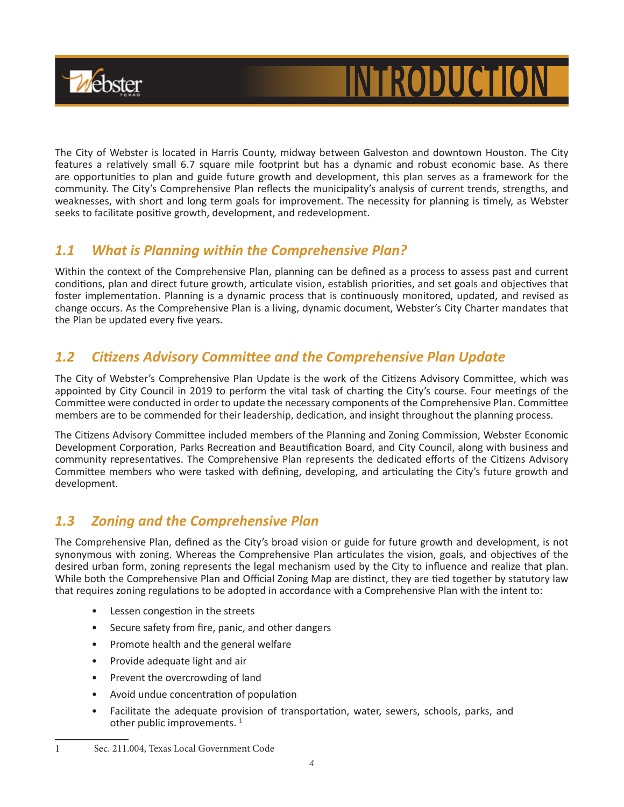

# **INTRODUCTI**

The City of Webster is located in Harris County, midway between Galveston and downtown Houston. The City features a relatively small 6.7 square mile footprint but has a dynamic and robust economic base. As there are opportunities to plan and guide future growth and development, this plan serves as a framework for the community. The City's Comprehensive Plan reflects the municipality's analysis of current trends, strengths, and weaknesses, with short and long term goals for improvement. The necessity for planning is timely, as Webster seeks to facilitate positive growth, development, and redevelopment.

## *1.1 What is Planning within the Comprehensive Plan?*

Within the context of the Comprehensive Plan, planning can be defined as a process to assess past and current conditions, plan and direct future growth, articulate vision, establish priorities, and set goals and objectives that foster implementation. Planning is a dynamic process that is continuously monitored, updated, and revised as change occurs. As the Comprehensive Plan is a living, dynamic document, Webster's City Charter mandates that the Plan be updated every five years.

## *1.2 Citizens Advisory Committee and the Comprehensive Plan Update*

The City of Webster's Comprehensive Plan Update is the work of the Citizens Advisory Committee, which was appointed by City Council in 2019 to perform the vital task of charting the City's course. Four meetings of the Committee were conducted in order to update the necessary components of the Comprehensive Plan. Committee members are to be commended for their leadership, dedication, and insight throughout the planning process.

The Citizens Advisory Committee included members of the Planning and Zoning Commission, Webster Economic Development Corporation, Parks Recreation and Beautification Board, and City Council, along with business and community representatives. The Comprehensive Plan represents the dedicated efforts of the Citizens Advisory Committee members who were tasked with defining, developing, and articulating the City's future growth and development.

## *1.3 Zoning and the Comprehensive Plan*

The Comprehensive Plan, defined as the City's broad vision or guide for future growth and development, is not synonymous with zoning. Whereas the Comprehensive Plan articulates the vision, goals, and objectives of the desired urban form, zoning represents the legal mechanism used by the City to influence and realize that plan. While both the Comprehensive Plan and Official Zoning Map are distinct, they are tied together by statutory law that requires zoning regulations to be adopted in accordance with a Comprehensive Plan with the intent to:

- Lessen congestion in the streets
- Secure safety from fire, panic, and other dangers
- Promote health and the general welfare
- Provide adequate light and air
- Prevent the overcrowding of land
- Avoid undue concentration of population
- Facilitate the adequate provision of transportation, water, sewers, schools, parks, and other public improvements.  $1$

<sup>1</sup> Sec. 211.004, Texas Local Government Code